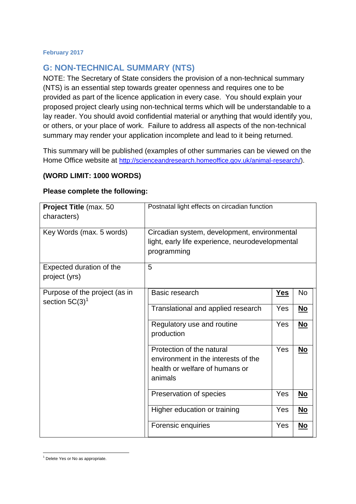## **G: NON-TECHNICAL SUMMARY (NTS)**

NOTE: The Secretary of State considers the provision of a non-technical summary (NTS) is an essential step towards greater openness and requires one to be provided as part of the licence application in every case. You should explain your proposed project clearly using non-technical terms which will be understandable to a lay reader. You should avoid confidential material or anything that would identify you, or others, or your place of work. Failure to address all aspects of the non-technical summary may render your application incomplete and lead to it being returned.

This summary will be published (examples of other summaries can be viewed on the Home Office website at [http://scienceandresearch.homeoffice.gov.uk/animal-research/\)](http://scienceandresearch.homeoffice.gov.uk/animal-research/).

## **(WORD LIMIT: 1000 WORDS)**

## **Please complete the following:**

| Project Title (max. 50<br>characters)              | Postnatal light effects on circadian function                                                                   |            |                           |  |  |
|----------------------------------------------------|-----------------------------------------------------------------------------------------------------------------|------------|---------------------------|--|--|
| Key Words (max. 5 words)                           | Circadian system, development, environmental<br>light, early life experience, neurodevelopmental<br>programming |            |                           |  |  |
| Expected duration of the<br>project (yrs)          | 5                                                                                                               |            |                           |  |  |
| Purpose of the project (as in<br>section $5C(3)^1$ | Basic research                                                                                                  | <b>Yes</b> | <b>No</b>                 |  |  |
|                                                    | Translational and applied research                                                                              | Yes        | $\underline{\mathsf{No}}$ |  |  |
|                                                    | Regulatory use and routine<br>production                                                                        | Yes        | $No$                      |  |  |
|                                                    | Protection of the natural<br>environment in the interests of the<br>health or welfare of humans or<br>animals   | Yes        | $\underline{\mathsf{No}}$ |  |  |
|                                                    | Preservation of species                                                                                         | Yes        | $\underline{\mathsf{No}}$ |  |  |
|                                                    | Higher education or training                                                                                    | Yes        | <u>No</u>                 |  |  |
|                                                    | Forensic enquiries                                                                                              | Yes        | <u>No</u>                 |  |  |

**<sup>.</sup>** <sup>1</sup> Delete Yes or No as appropriate.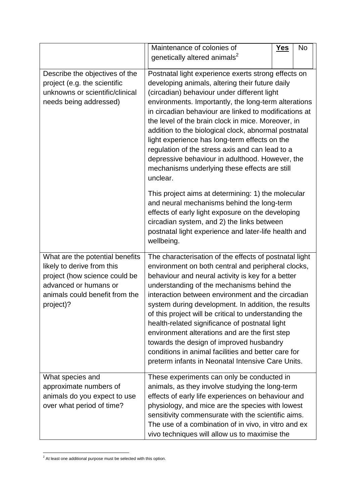|                                                                                                                                                                        | Maintenance of colonies of                                                                                                                                                                                                                                                                                                                                                                                                                                                                                                                                                                                                                       | <b>Yes</b> | <b>No</b> |
|------------------------------------------------------------------------------------------------------------------------------------------------------------------------|--------------------------------------------------------------------------------------------------------------------------------------------------------------------------------------------------------------------------------------------------------------------------------------------------------------------------------------------------------------------------------------------------------------------------------------------------------------------------------------------------------------------------------------------------------------------------------------------------------------------------------------------------|------------|-----------|
|                                                                                                                                                                        | genetically altered animals <sup>2</sup>                                                                                                                                                                                                                                                                                                                                                                                                                                                                                                                                                                                                         |            |           |
| Describe the objectives of the<br>project (e.g. the scientific<br>unknowns or scientific/clinical<br>needs being addressed)                                            | Postnatal light experience exerts strong effects on<br>developing animals, altering their future daily<br>(circadian) behaviour under different light<br>environments. Importantly, the long-term alterations<br>in circadian behaviour are linked to modifications at<br>the level of the brain clock in mice. Moreover, in<br>addition to the biological clock, abnormal postnatal<br>light experience has long-term effects on the<br>regulation of the stress axis and can lead to a<br>depressive behaviour in adulthood. However, the<br>mechanisms underlying these effects are still<br>unclear.                                         |            |           |
|                                                                                                                                                                        | This project aims at determining: 1) the molecular<br>and neural mechanisms behind the long-term<br>effects of early light exposure on the developing<br>circadian system, and 2) the links between<br>postnatal light experience and later-life health and<br>wellbeing.                                                                                                                                                                                                                                                                                                                                                                        |            |           |
| What are the potential benefits<br>likely to derive from this<br>project (how science could be<br>advanced or humans or<br>animals could benefit from the<br>project)? | The characterisation of the effects of postnatal light<br>environment on both central and peripheral clocks,<br>behaviour and neural activity is key for a better<br>understanding of the mechanisms behind the<br>interaction between environment and the circadian<br>system during development. In addition, the results<br>of this project will be critical to understanding the<br>health-related significance of postnatal light<br>environment alterations and are the first step<br>towards the design of improved husbandry<br>conditions in animal facilities and better care for<br>preterm infants in Neonatal Intensive Care Units. |            |           |
| What species and<br>approximate numbers of<br>animals do you expect to use<br>over what period of time?                                                                | These experiments can only be conducted in<br>animals, as they involve studying the long-term<br>effects of early life experiences on behaviour and<br>physiology, and mice are the species with lowest<br>sensitivity commensurate with the scientific aims.<br>The use of a combination of in vivo, in vitro and ex<br>vivo techniques will allow us to maximise the                                                                                                                                                                                                                                                                           |            |           |

**<sup>.</sup>**  $2$  At least one additional purpose must be selected with this option.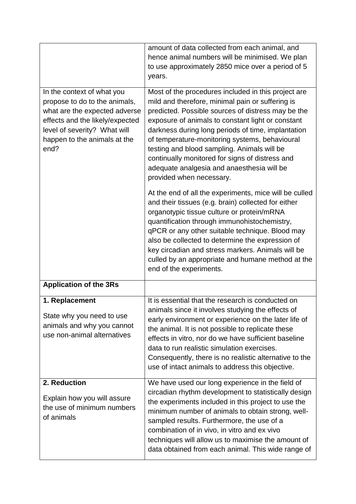|                                                                                                                                                                                                         | amount of data collected from each animal, and<br>hence animal numbers will be minimised. We plan<br>to use approximately 2850 mice over a period of 5<br>years.                                                                                                                                                                                                                                                                                                                                                                                                                                                                                                                                                                                                                                                                                                                                                                                                  |
|---------------------------------------------------------------------------------------------------------------------------------------------------------------------------------------------------------|-------------------------------------------------------------------------------------------------------------------------------------------------------------------------------------------------------------------------------------------------------------------------------------------------------------------------------------------------------------------------------------------------------------------------------------------------------------------------------------------------------------------------------------------------------------------------------------------------------------------------------------------------------------------------------------------------------------------------------------------------------------------------------------------------------------------------------------------------------------------------------------------------------------------------------------------------------------------|
| In the context of what you<br>propose to do to the animals,<br>what are the expected adverse<br>effects and the likely/expected<br>level of severity? What will<br>happen to the animals at the<br>end? | Most of the procedures included in this project are<br>mild and therefore, minimal pain or suffering is<br>predicted. Possible sources of distress may be the<br>exposure of animals to constant light or constant<br>darkness during long periods of time, implantation<br>of temperature-monitoring systems, behavioural<br>testing and blood sampling. Animals will be<br>continually monitored for signs of distress and<br>adequate analgesia and anaesthesia will be<br>provided when necessary.<br>At the end of all the experiments, mice will be culled<br>and their tissues (e.g. brain) collected for either<br>organotypic tissue culture or protein/mRNA<br>quantification through immunohistochemistry,<br>qPCR or any other suitable technique. Blood may<br>also be collected to determine the expression of<br>key circadian and stress markers. Animals will be<br>culled by an appropriate and humane method at the<br>end of the experiments. |
| <b>Application of the 3Rs</b>                                                                                                                                                                           |                                                                                                                                                                                                                                                                                                                                                                                                                                                                                                                                                                                                                                                                                                                                                                                                                                                                                                                                                                   |
| 1. Replacement<br>State why you need to use<br>animals and why you cannot<br>use non-animal alternatives                                                                                                | It is essential that the research is conducted on<br>animals since it involves studying the effects of<br>early environment or experience on the later life of<br>the animal. It is not possible to replicate these<br>effects in vitro, nor do we have sufficient baseline<br>data to run realistic simulation exercises.<br>Consequently, there is no realistic alternative to the<br>use of intact animals to address this objective.                                                                                                                                                                                                                                                                                                                                                                                                                                                                                                                          |
| 2. Reduction<br>Explain how you will assure<br>the use of minimum numbers<br>of animals                                                                                                                 | We have used our long experience in the field of<br>circadian rhythm development to statistically design<br>the experiments included in this project to use the<br>minimum number of animals to obtain strong, well-<br>sampled results. Furthermore, the use of a<br>combination of in vivo, in vitro and ex vivo<br>techniques will allow us to maximise the amount of<br>data obtained from each animal. This wide range of                                                                                                                                                                                                                                                                                                                                                                                                                                                                                                                                    |